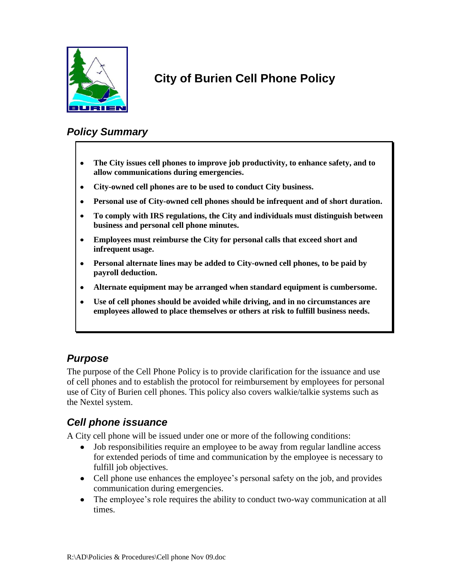

# **City of Burien Cell Phone Policy**

## *Policy Summary*

- **The City issues cell phones to improve job productivity, to enhance safety, and to**   $\bullet$ **allow communications during emergencies.**
- $\bullet$ **City-owned cell phones are to be used to conduct City business.**
- **Personal use of City-owned cell phones should be infrequent and of short duration.**  $\bullet$
- **To comply with IRS regulations, the City and individuals must distinguish between**   $\bullet$ **business and personal cell phone minutes.**
- $\bullet$ **Employees must reimburse the City for personal calls that exceed short and infrequent usage.**
- **Personal alternate lines may be added to City-owned cell phones, to be paid by**   $\bullet$ **payroll deduction.**
- **Alternate equipment may be arranged when standard equipment is cumbersome.**  $\bullet$
- **Use of cell phones should be avoided while driving, and in no circumstances are**   $\bullet$ **employees allowed to place themselves or others at risk to fulfill business needs.**

### *Purpose*

The purpose of the Cell Phone Policy is to provide clarification for the issuance and use of cell phones and to establish the protocol for reimbursement by employees for personal use of City of Burien cell phones. This policy also covers walkie/talkie systems such as the Nextel system.

### *Cell phone issuance*

A City cell phone will be issued under one or more of the following conditions:

- Job responsibilities require an employee to be away from regular landline access for extended periods of time and communication by the employee is necessary to fulfill job objectives.
- Cell phone use enhances the employee's personal safety on the job, and provides communication during emergencies.
- The employee's role requires the ability to conduct two-way communication at all times.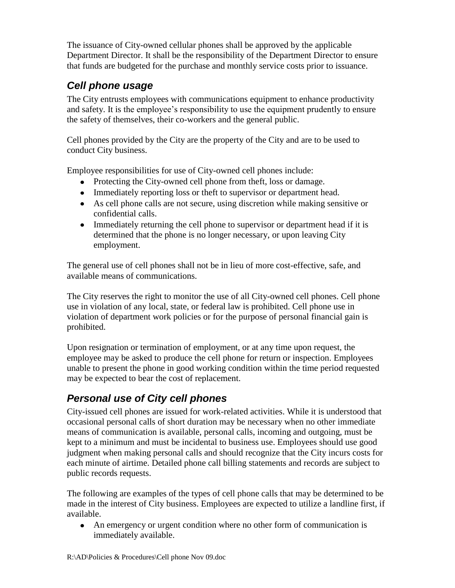The issuance of City-owned cellular phones shall be approved by the applicable Department Director. It shall be the responsibility of the Department Director to ensure that funds are budgeted for the purchase and monthly service costs prior to issuance.

## *Cell phone usage*

The City entrusts employees with communications equipment to enhance productivity and safety. It is the employee's responsibility to use the equipment prudently to ensure the safety of themselves, their co-workers and the general public.

Cell phones provided by the City are the property of the City and are to be used to conduct City business.

Employee responsibilities for use of City-owned cell phones include:

- Protecting the City-owned cell phone from theft, loss or damage.
- Immediately reporting loss or theft to supervisor or department head.
- As cell phone calls are not secure, using discretion while making sensitive or confidential calls.
- Immediately returning the cell phone to supervisor or department head if it is determined that the phone is no longer necessary, or upon leaving City employment.

The general use of cell phones shall not be in lieu of more cost-effective, safe, and available means of communications.

The City reserves the right to monitor the use of all City-owned cell phones. Cell phone use in violation of any local, state, or federal law is prohibited. Cell phone use in violation of department work policies or for the purpose of personal financial gain is prohibited.

Upon resignation or termination of employment, or at any time upon request, the employee may be asked to produce the cell phone for return or inspection. Employees unable to present the phone in good working condition within the time period requested may be expected to bear the cost of replacement.

## *Personal use of City cell phones*

City-issued cell phones are issued for work-related activities. While it is understood that occasional personal calls of short duration may be necessary when no other immediate means of communication is available, personal calls, incoming and outgoing, must be kept to a minimum and must be incidental to business use. Employees should use good judgment when making personal calls and should recognize that the City incurs costs for each minute of airtime. Detailed phone call billing statements and records are subject to public records requests.

The following are examples of the types of cell phone calls that may be determined to be made in the interest of City business. Employees are expected to utilize a landline first, if available.

 $\bullet$ An emergency or urgent condition where no other form of communication is immediately available.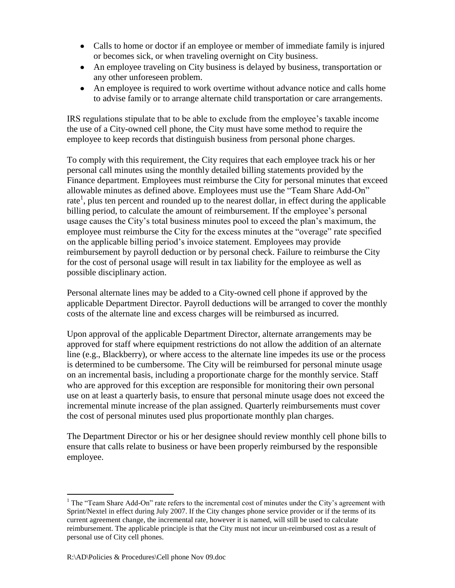- Calls to home or doctor if an employee or member of immediate family is injured or becomes sick, or when traveling overnight on City business.
- An employee traveling on City business is delayed by business, transportation or any other unforeseen problem.
- An employee is required to work overtime without advance notice and calls home to advise family or to arrange alternate child transportation or care arrangements.

IRS regulations stipulate that to be able to exclude from the employee's taxable income the use of a City-owned cell phone, the City must have some method to require the employee to keep records that distinguish business from personal phone charges.

To comply with this requirement, the City requires that each employee track his or her personal call minutes using the monthly detailed billing statements provided by the Finance department. Employees must reimburse the City for personal minutes that exceed allowable minutes as defined above. Employees must use the "Team Share Add-On" rate<sup>1</sup>, plus ten percent and rounded up to the nearest dollar, in effect during the applicable billing period, to calculate the amount of reimbursement. If the employee's personal usage causes the City's total business minutes pool to exceed the plan's maximum, the employee must reimburse the City for the excess minutes at the "overage" rate specified on the applicable billing period's invoice statement. Employees may provide reimbursement by payroll deduction or by personal check. Failure to reimburse the City for the cost of personal usage will result in tax liability for the employee as well as possible disciplinary action.

Personal alternate lines may be added to a City-owned cell phone if approved by the applicable Department Director. Payroll deductions will be arranged to cover the monthly costs of the alternate line and excess charges will be reimbursed as incurred.

Upon approval of the applicable Department Director, alternate arrangements may be approved for staff where equipment restrictions do not allow the addition of an alternate line (e.g., Blackberry), or where access to the alternate line impedes its use or the process is determined to be cumbersome. The City will be reimbursed for personal minute usage on an incremental basis, including a proportionate charge for the monthly service. Staff who are approved for this exception are responsible for monitoring their own personal use on at least a quarterly basis, to ensure that personal minute usage does not exceed the incremental minute increase of the plan assigned. Quarterly reimbursements must cover the cost of personal minutes used plus proportionate monthly plan charges.

The Department Director or his or her designee should review monthly cell phone bills to ensure that calls relate to business or have been properly reimbursed by the responsible employee.

 $\overline{a}$  $<sup>1</sup>$  The "Team Share Add-On" rate refers to the incremental cost of minutes under the City's agreement with</sup> Sprint/Nextel in effect during July 2007. If the City changes phone service provider or if the terms of its current agreement change, the incremental rate, however it is named, will still be used to calculate reimbursement. The applicable principle is that the City must not incur un-reimbursed cost as a result of personal use of City cell phones.